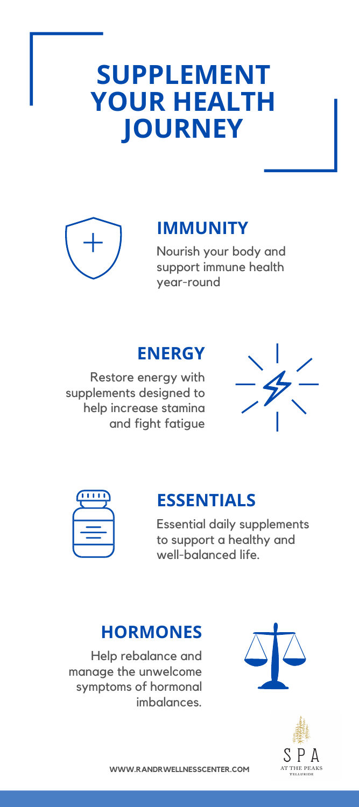# **SUPPLEMENT YOUR HEALTH JOURNEY**



## **IMMUNITY**

Nourish your body and support immune health year-round

### **ENERGY**

Restore energy with supplements designed to help increase stamina and fight fatigue





### **ESSENTIALS**

Essential daily supplements to support a healthy and well-balanced life.

#### **HORMONES**

Help rebalance and manage the unwelcome symptoms of hormonal imbalances.





**WWW.RANDRWELLNESSCENTER.COM**